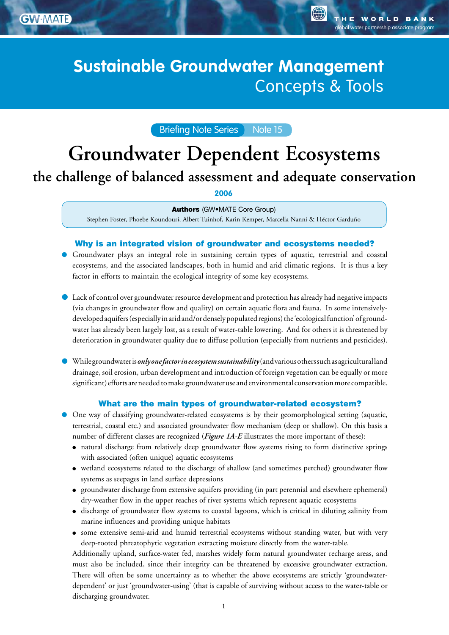**GW** MATE

global water partnership associate program

**O** 

# Sustainable Groundwater Management: **Sustainable Groundwater Management Concepts & Tools**

# Briefing Note Series Note 15

# **Groundwater Dependent Ecosystems**

# **the challenge of balanced assessment and adequate conservation**

**2006**

#### Authors (GW•MATE Core Group)

Stephen Foster, Phoebe Koundouri, Albert Tuinhof, Karin Kemper, Marcella Nanni & Héctor Garduño

#### Why is an integrated vision of groundwater and ecosystems needed?

- Groundwater plays an integral role in sustaining certain types of aquatic, terrestrial and coastal ecosystems, and the associated landscapes, both in humid and arid climatic regions. It is thus a key factor in efforts to maintain the ecological integrity of some key ecosystems.
- Lack of control over groundwater resource development and protection has already had negative impacts (via changes in groundwater flow and quality) on certain aquatic flora and fauna. In some intensivelydeveloped aquifers (especially in arid and/or densely populated regions) the 'ecological function' of groundwater has already been largely lost, as a result of water-table lowering. And for others it is threatened by deterioration in groundwater quality due to diffuse pollution (especially from nutrients and pesticides).
- While groundwater is *only one factor in ecosystem sustainability* (and various others such as agricultural land drainage, soil erosion, urban development and introduction of foreign vegetation can be equally or more significant) efforts are needed to make groundwater use and environmental conservation more compatible.

#### What are the main types of groundwater-related ecosystem?

- One way of classifying groundwater-related ecosystems is by their geomorphological setting (aquatic, terrestrial, coastal etc.) and associated groundwater flow mechanism (deep or shallow). On this basis a number of different classes are recognized (*Figure 1A-E* illustrates the more important of these):
	- natural discharge from relatively deep groundwater flow systems rising to form distinctive springs with associated (often unique) aquatic ecosystems
	- wetland ecosystems related to the discharge of shallow (and sometimes perched) groundwater flow systems as seepages in land surface depressions
	- groundwater discharge from extensive aquifers providing (in part perennial and elsewhere ephemeral) dry-weather flow in the upper reaches of river systems which represent aquatic ecosystems
	- discharge of groundwater flow systems to coastal lagoons, which is critical in diluting salinity from marine influences and providing unique habitats
	- some extensive semi-arid and humid terrestrial ecosystems without standing water, but with very deep-rooted phreatophytic vegetation extracting moisture directly from the water-table.

Additionally upland, surface-water fed, marshes widely form natural groundwater recharge areas, and must also be included, since their integrity can be threatened by excessive groundwater extraction. There will often be some uncertainty as to whether the above ecosystems are strictly 'groundwaterdependent' or just 'groundwater-using' (that is capable of surviving without access to the water-table or discharging groundwater.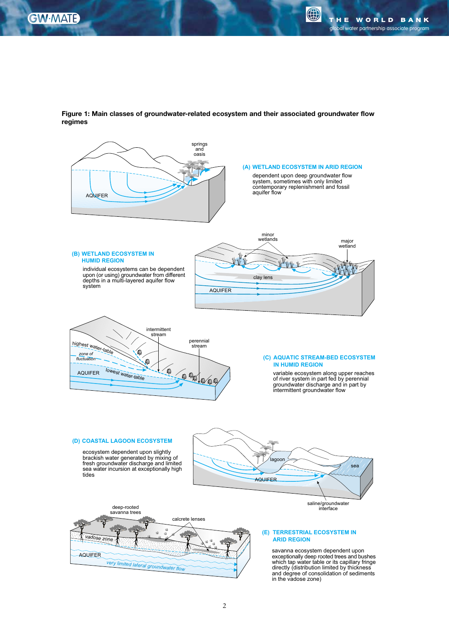0

**Groundwater Management**

**Groundwater Management Advisory Team** 



**Figure 1: Main classes of groundwater-related ecosystem and their associated groundwater flow regimes**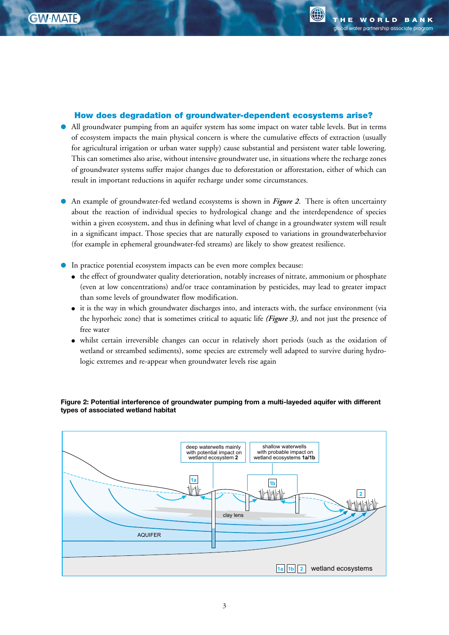G)

## How does degradation of groundwater-dependent ecosystems arise?

- All groundwater pumping from an aquifer system has some impact on water table levels. But in terms of ecosystem impacts the main physical concern is where the cumulative effects of extraction (usually for agricultural irrigation or urban water supply) cause substantial and persistent water table lowering. This can sometimes also arise, without intensive groundwater use, in situations where the recharge zones of groundwater systems suffer major changes due to deforestation or afforestation, either of which can result in important reductions in aquifer recharge under some circumstances.
- An example of groundwater-fed wetland ecosystems is shown in *Figure 2*. There is often uncertainty about the reaction of individual species to hydrological change and the interdependence of species within a given ecosystem, and thus in defining what level of change in a groundwater system will result in a significant impact. Those species that are naturally exposed to variations in groundwaterbehavior (for example in ephemeral groundwater-fed streams) are likely to show greatest resilience.
- In practice potential ecosystem impacts can be even more complex because:
	- the effect of groundwater quality deterioration, notably increases of nitrate, ammonium or phosphate (even at low concentrations) and/or trace contamination by pesticides, may lead to greater impact than some levels of groundwater flow modification.
	- it is the way in which groundwater discharges into, and interacts with, the surface environment (via the hyporheic zone) that is sometimes critical to aquatic life *(Figure 3)*, and not just the presence of free water
	- whilst certain irreversible changes can occur in relatively short periods (such as the oxidation of wetland or streambed sediments), some species are extremely well adapted to survive during hydrologic extremes and re-appear when groundwater levels rise again



**Figure 2: Potential interference of groundwater pumping from a multi-layeded aquifer with different types of associated wetland habitat**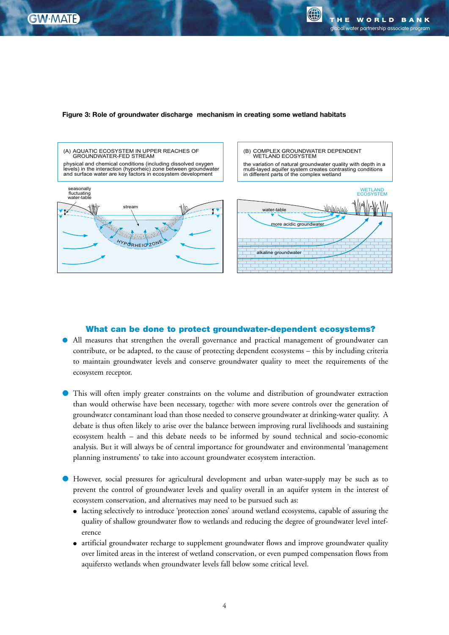

#### **Figure 3: Role of groundwater discharge mechanism in creating some wetland habitats**



#### What can be done to protect groundwater-dependent ecosystems?

- All measures that strengthen the overall governance and practical management of groundwater can contribute, or be adapted, to the cause of protecting dependent ecosystems – this by including criteria to maintain groundwater levels and conserve groundwater quality to meet the requirements of the ecosystem receptor.
- This will often imply greater constraints on the volume and distribution of groundwater extraction than would otherwise have been necessary, together with more severe controls over the generation of groundwater contaminant load than those needed to conserve groundwater at drinking-water quality. A debate is thus often likely to arise over the balance between improving rural livelihoods and sustaining ecosystem health – and this debate needs to be informed by sound technical and socio-economic analysis. But it will always be of central importance for groundwater and environmental 'management planning instruments' to take into account groundwater ecosystem interaction.
- However, social pressures for agricultural development and urban water-supply may be such as to prevent the control of groundwater levels and quality overall in an aquifer system in the interest of ecosystem conservation, and alternatives may need to be pursued such as:
	- lacting selectively to introduce 'protection zones' around wetland ecosystems, capable of assuring the quality of shallow groundwater flow to wetlands and reducing the degree of groundwater level inteference
	- artificial groundwater recharge to supplement groundwater flows and improve groundwater quality over limited areas in the interest of wetland conservation, or even pumped compensation flows from aquifersto wetlands when groundwater levels fall below some critical level.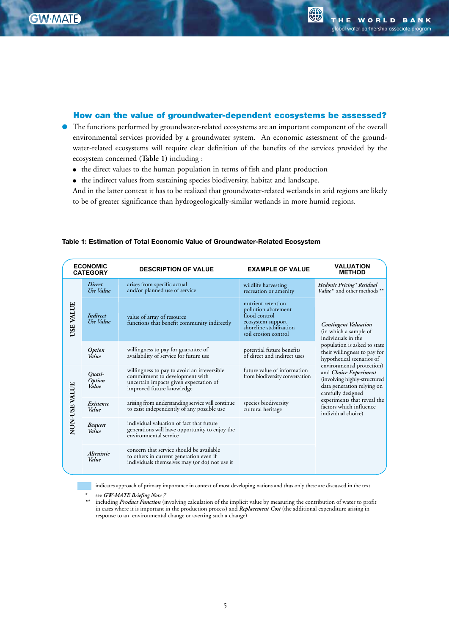**Management**

**Advisory Team** 

**GW** MATE

G

## How can the value of groundwater-dependent ecosystems be assessed?

- The functions performed by groundwater-related ecosystems are an important component of the overall environmental services provided by a groundwater system. An economic assessment of the groundwater-related ecosystems will require clear definition of the benefits of the services provided by the ecosystem concerned **(Table 1)** including :
	- the direct values to the human population in terms of fish and plant production
	- the indirect values from sustaining species biodiversity, habitat and landscape.

And in the latter context it has to be realized that groundwater-related wetlands in arid regions are likely to be of greater significance than hydrogeologically-similar wetlands in more humid regions.

| <b>ECONOMIC</b><br><b>CATEGORY</b> |                            | <b>DESCRIPTION OF VALUE</b>                                                                                                                          | <b>EXAMPLE OF VALUE</b>                                                                                                            | <b>VALUATION</b><br><b>METHOD</b>                                                                                                                                                                                                                                                                                                                                                                        |
|------------------------------------|----------------------------|------------------------------------------------------------------------------------------------------------------------------------------------------|------------------------------------------------------------------------------------------------------------------------------------|----------------------------------------------------------------------------------------------------------------------------------------------------------------------------------------------------------------------------------------------------------------------------------------------------------------------------------------------------------------------------------------------------------|
| USE VALUE                          | <b>Direct</b><br>Use Value | arises from specific actual<br>and/or planned use of service                                                                                         | wildlife harvesting<br>recreation or amenity                                                                                       | Hedonic Pricing* Residual<br>Value* and other methods **                                                                                                                                                                                                                                                                                                                                                 |
|                                    | Indirect<br>Use Value      | value of array of resource<br>functions that benefit community indirectly                                                                            | nutrient retention<br>pollution abatement<br>flood control<br>ecosystem support<br>shoreline stabilization<br>soil erosion control | <b>Contingent Valuation</b><br>(in which a sample of<br>individuals in the<br>population is asked to state<br>their willingness to pay for<br>hypothetical scenarios of<br>environmental protection)<br>and <i>Choice Experiment</i><br>(involving highly-structured<br>data generation relying on<br>carefully designed<br>experiments that reveal the<br>factors which influence<br>individual choice) |
|                                    | Option<br>Value            | willingness to pay for guarantee of<br>availability of service for future use                                                                        | potential future benefits<br>of direct and indirect uses                                                                           |                                                                                                                                                                                                                                                                                                                                                                                                          |
| NON-USE VALUE                      | Quasi-<br>Option<br>Value  | willingness to pay to avoid an irreversible<br>commitment to development with<br>uncertain impacts given expectation of<br>improved future knowledge | future value of information<br>from biodiversity conversation                                                                      |                                                                                                                                                                                                                                                                                                                                                                                                          |
|                                    | Existence<br>Value         | arising from understanding service will continue<br>to exist independently of any possible use                                                       | species biodiversity<br>cultural heritage                                                                                          |                                                                                                                                                                                                                                                                                                                                                                                                          |
|                                    | <b>Bequest</b><br>Value    | individual valuation of fact that future<br>generations will have opportunity to enjoy the<br>environmental service                                  |                                                                                                                                    |                                                                                                                                                                                                                                                                                                                                                                                                          |
|                                    | Altruistic<br>Value        | concern that service should be available.<br>to others in current generation even if<br>individuals themselves may (or do) not use it                |                                                                                                                                    |                                                                                                                                                                                                                                                                                                                                                                                                          |

#### **Table 1: Estimation of Total Economic Value of Groundwater-Related Ecosystem**

indicates approach of primary importance in context of most developing nations and thus only these are discussed in the text

*\*\** including *Product Function* (involving calculation of the implicit value by measuring the contribution of water to profit in cases where it is important in the production process) and *Replacement Cost* (the additional expenditure arising in response to an environmental change or averting such a change)

*<sup>\*</sup>* see *GW-MATE Briefing Note 7*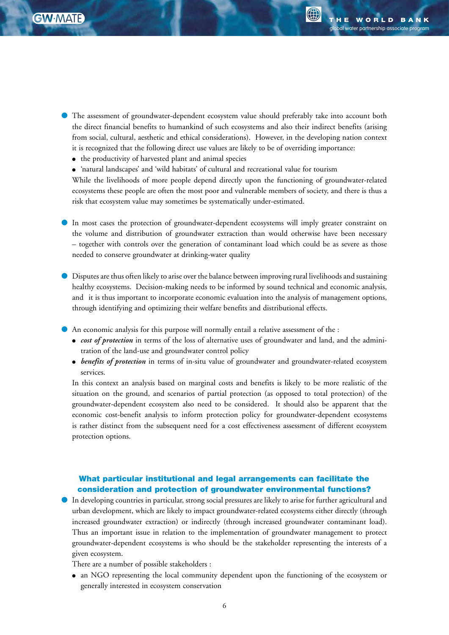

**Management**

**Groundwater Management Advisory Team** 

- The assessment of groundwater-dependent ecosystem value should preferably take into account both the direct financial benefits to humankind of such ecosystems and also their indirect benefits (arising from social, cultural, aesthetic and ethical considerations). However, in the developing nation context it is recognized that the following direct use values are likely to be of overriding importance:
	- the productivity of harvested plant and animal species
	- 'natural landscapes' and 'wild habitats' of cultural and recreational value for tourism

While the livelihoods of more people depend directly upon the functioning of groundwater-related ecosystems these people are often the most poor and vulnerable members of society, and there is thus a risk that ecosystem value may sometimes be systematically under-estimated.

- In most cases the protection of groundwater-dependent ecosystems will imply greater constraint on the volume and distribution of groundwater extraction than would otherwise have been necessary – together with controls over the generation of contaminant load which could be as severe as those needed to conserve groundwater at drinking-water quality
- Disputes are thus often likely to arise over the balance between improving rural livelihoods and sustaining healthy ecosystems. Decision-making needs to be informed by sound technical and economic analysis, and it is thus important to incorporate economic evaluation into the analysis of management options, through identifying and optimizing their welfare benefits and distributional effects.
- An economic analysis for this purpose will normally entail a relative assessment of the :
	- *cost of protection* in terms of the loss of alternative uses of groundwater and land, and the adminitration of the land-use and groundwater control policy
	- *benefits of protection* in terms of in-situ value of groundwater and groundwater-related ecosystem services.

In this context an analysis based on marginal costs and benefits is likely to be more realistic of the situation on the ground, and scenarios of partial protection (as opposed to total protection) of the groundwater-dependent ecosystem also need to be considered. It should also be apparent that the economic cost-benefit analysis to inform protection policy for groundwater-dependent ecosystems is rather distinct from the subsequent need for a cost effectiveness assessment of different ecosystem protection options.

# What particular institutional and legal arrangements can facilitate the consideration and protection of groundwater environmental functions?

● In developing countries in particular, strong social pressures are likely to arise for further agricultural and urban development, which are likely to impact groundwater-related ecosystems either directly (through increased groundwater extraction) or indirectly (through increased groundwater contaminant load). Thus an important issue in relation to the implementation of groundwater management to protect groundwater-dependent ecosystems is who should be the stakeholder representing the interests of a given ecosystem.

There are a number of possible stakeholders :

● an NGO representing the local community dependent upon the functioning of the ecosystem or generally interested in ecosystem conservation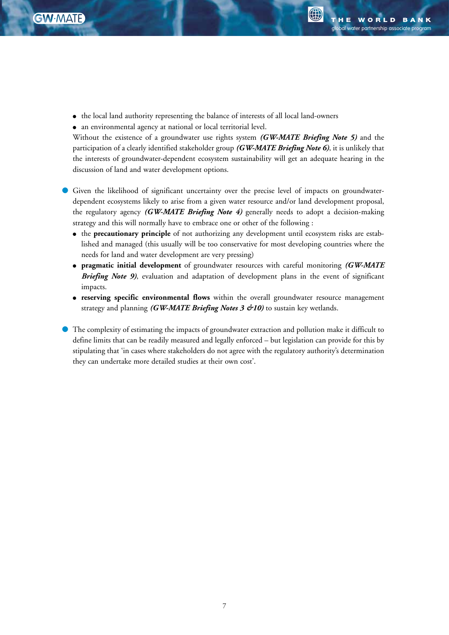

**AD** 

- the local land authority representing the balance of interests of all local land-owners
- an environmental agency at national or local territorial level.

Without the existence of a groundwater use rights system *(GW-MATE Briefing Note 5)* and the participation of a clearly identified stakeholder group *(GW-MATE Briefing Note 6)*, it is unlikely that the interests of groundwater-dependent ecosystem sustainability will get an adequate hearing in the discussion of land and water development options.

- Given the likelihood of significant uncertainty over the precise level of impacts on groundwaterdependent ecosystems likely to arise from a given water resource and/or land development proposal, the regulatory agency *(GW-MATE Briefing Note 4)* generally needs to adopt a decision-making strategy and this will normally have to embrace one or other of the following :
	- the **precautionary principle** of not authorizing any development until ecosystem risks are established and managed (this usually will be too conservative for most developing countries where the needs for land and water development are very pressing)
	- **pragmatic initial development** of groundwater resources with careful monitoring *(GW-MATE Briefing Note 9)*, evaluation and adaptation of development plans in the event of significant impacts.
	- **reserving specific environmental flows** within the overall groundwater resource management strategy and planning *(GW-MATE Briefing Notes 3 &10)* to sustain key wetlands.
- The complexity of estimating the impacts of groundwater extraction and pollution make it difficult to define limits that can be readily measured and legally enforced – but legislation can provide for this by stipulating that 'in cases where stakeholders do not agree with the regulatory authority's determination they can undertake more detailed studies at their own cost'.